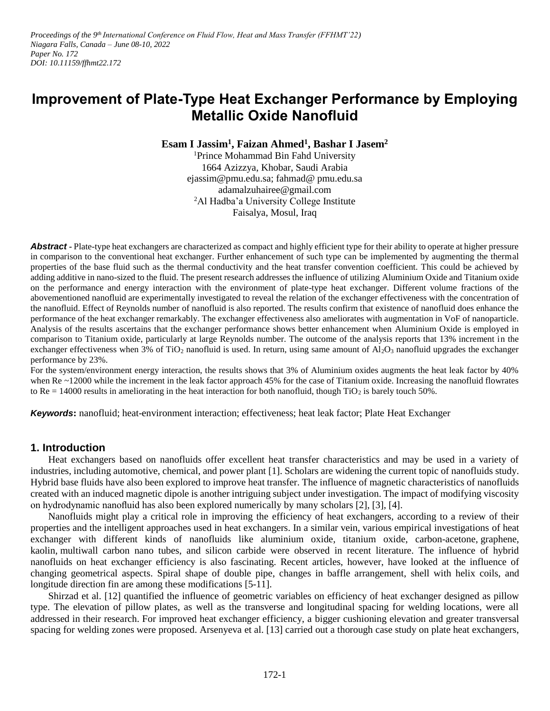*Proceedings of the 9<sup>th</sup> International Conference on Fluid Flow, Heat and Mass Transfer (FFHMT'22) Niagara Falls, Canada – June 08-10, 2022 Paper No. 172 DOI: 10.11159/ffhmt22.172*

# **Improvement of Plate-Type Heat Exchanger Performance by Employing Metallic Oxide Nanofluid**

**Esam I Jassim<sup>1</sup> , Faizan Ahmed 1 , Bashar I Jasem<sup>2</sup>**

<sup>1</sup>Prince Mohammad Bin Fahd University 1664 Azizzya, Khobar, Saudi Arabia ejassim@pmu.edu.sa; fahmad@ pmu.edu.sa adamalzuhairee@gmail.com <sup>2</sup>Al Hadba'a University College Institute Faisalya, Mosul, Iraq

**Abstract -** Plate-type heat exchangers are characterized as compact and highly efficient type for their ability to operate at higher pressure in comparison to the conventional heat exchanger. Further enhancement of such type can be implemented by augmenting the thermal properties of the base fluid such as the thermal conductivity and the heat transfer convention coefficient. This could be achieved by adding additive in nano-sized to the fluid. The present research addresses the influence of utilizing Aluminium Oxide and Titanium oxide on the performance and energy interaction with the environment of plate-type heat exchanger. Different volume fractions of the abovementioned nanofluid are experimentally investigated to reveal the relation of the exchanger effectiveness with the concentration of the nanofluid. Effect of Reynolds number of nanofluid is also reported. The results confirm that existence of nanofluid does enhance the performance of the heat exchanger remarkably. The exchanger effectiveness also ameliorates with augmentation in VoF of nanoparticle. Analysis of the results ascertains that the exchanger performance shows better enhancement when Aluminium Oxide is employed in comparison to Titanium oxide, particularly at large Reynolds number. The outcome of the analysis reports that 13% increment in the exchanger effectiveness when 3% of TiO<sub>2</sub> nanofluid is used. In return, using same amount of  $Al_2O_3$  nanofluid upgrades the exchanger performance by 23%.

For the system/environment energy interaction, the results shows that 3% of Aluminium oxides augments the heat leak factor by 40% when Re ~12000 while the increment in the leak factor approach 45% for the case of Titanium oxide. Increasing the nanofluid flowrates to Re = 14000 results in ameliorating in the heat interaction for both nanofluid, though  $TiO<sub>2</sub>$  is barely touch 50%.

*Keywords***:** nanofluid; heat-environment interaction; effectiveness; heat leak factor; Plate Heat Exchanger

## **1. Introduction**

Heat exchangers based on nanofluids offer excellent heat transfer characteristics and may be used in a variety of industries, including automotive, chemical, and power plant [1]. Scholars are widening the current topic of nanofluids study. Hybrid base fluids have also been explored to improve heat transfer. The influence of magnetic characteristics of nanofluids created with an induced magnetic dipole is another intriguing subject under investigation. The impact of modifying viscosity on hydrodynamic nanofluid has also been explored numerically by many scholars [2], [3], [4].

Nanofluids might play a critical role in improving the efficiency of heat exchangers, according to a review of their properties and the intelligent approaches used in heat exchangers. In a similar vein, various empirical investigations of heat exchanger with different kinds of nanofluids like aluminium oxide, titanium oxide, carbon-acetone, graphene, kaolin, multiwall carbon nano tubes, and silicon carbide were observed in recent literature. The influence of hybrid nanofluids on heat exchanger efficiency is also fascinating. Recent articles, however, have looked at the influence of changing geometrical aspects. Spiral shape of double pipe, changes in baffle arrangement, shell with helix coils, and longitude direction fin are among these modifications [5-11].

Shirzad et al. [12] quantified the influence of geometric variables on efficiency of heat exchanger designed as pillow type. The elevation of pillow plates, as well as the transverse and longitudinal spacing for welding locations, were all addressed in their research. For improved heat exchanger efficiency, a bigger cushioning elevation and greater transversal spacing for welding zones were proposed. Arsenyeva et al. [13] carried out a thorough case study on plate heat exchangers,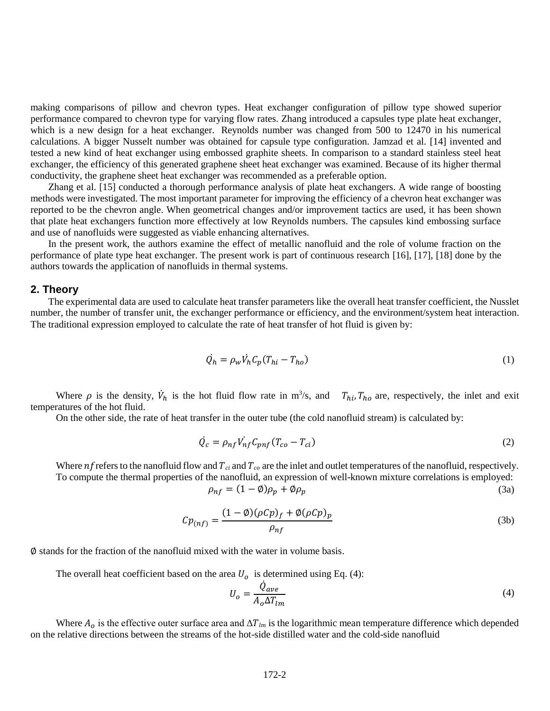making comparisons of pillow and chevron types. Heat exchanger configuration of pillow type showed superior performance compared to chevron type for varying flow rates. Zhang introduced a capsules type plate heat exchanger, which is a new design for a heat exchanger. Reynolds number was changed from 500 to 12470 in his numerical calculations. A bigger Nusselt number was obtained for capsule type configuration. Jamzad et al. [14] invented and tested a new kind of heat exchanger using embossed graphite sheets. In comparison to a standard stainless steel heat exchanger, the efficiency of this generated graphene sheet heat exchanger was examined. Because of its higher thermal conductivity, the graphene sheet heat exchanger was recommended as a preferable option.

Zhang et al. [15] conducted a thorough performance analysis of plate heat exchangers. A wide range of boosting methods were investigated. The most important parameter for improving the efficiency of a chevron heat exchanger was reported to be the chevron angle. When geometrical changes and/or improvement tactics are used, it has been shown that plate heat exchangers function more effectively at low Reynolds numbers. The capsules kind embossing surface and use of nanofluids were suggested as viable enhancing alternatives.

In the present work, the authors examine the effect of metallic nanofluid and the role of volume fraction on the performance of plate type heat exchanger. The present work is part of continuous research [16], [17], [18] done by the authors towards the application of nanofluids in thermal systems.

#### **2. Theory**

The experimental data are used to calculate heat transfer parameters like the overall heat transfer coefficient, the Nusslet number, the number of transfer unit, the exchanger performance or efficiency, and the environment/system heat interaction. The traditional expression employed to calculate the rate of heat transfer of hot fluid is given by:

$$
\dot{Q_h} = \rho_w \dot{V_h} C_p (T_{hi} - T_{ho}) \tag{1}
$$

Where  $\rho$  is the density,  $\dot{V}_h$  is the hot fluid flow rate in m<sup>3</sup>/s, and  $T_{hi}$ ,  $T_{ho}$  are, respectively, the inlet and exit temperatures of the hot fluid.

On the other side, the rate of heat transfer in the outer tube (the cold nanofluid stream) is calculated by:

$$
\dot{Q}_c = \rho_{nf} V_{nf}^{\dagger} C_{pnf} (T_{co} - T_{ci}) \tag{2}
$$

Where  $nf$  refers to the nanofluid flow and  $T_{ci}$  and  $T_{co}$  are the inlet and outlet temperatures of the nanofluid, respectively. To compute the thermal properties of the nanofluid, an expression of well-known mixture correlations is employed:  $\rho_{nf} = (1 - \emptyset)\rho_p + \emptyset\rho_p$  (3a)

$$
Cp_{(nf)} = \frac{(1 - \emptyset)(\rho Cp)_f + \emptyset(\rho Cp)_p}{\rho_{nf}}
$$
\n(3b)

∅ stands for the fraction of the nanofluid mixed with the water in volume basis.

The overall heat coefficient based on the area  $U<sub>o</sub>$  is determined using Eq. (4):

$$
U_o = \frac{\dot{Q}_{ave}}{A_o \Delta T_{lm}}\tag{4}
$$

Where  $A_0$  is the effective outer surface area and  $\Delta T_{lm}$  is the logarithmic mean temperature difference which depended on the relative directions between the streams of the hot-side distilled water and the cold-side nanofluid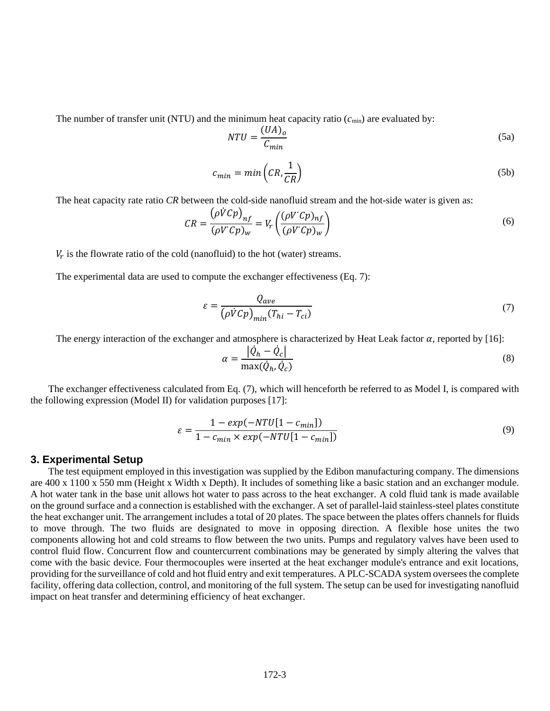The number of transfer unit (NTU) and the minimum heat capacity ratio  $(c_{\text{min}})$  are evaluated by:

$$
NTU = \frac{(UA)_o}{C_{min}}\tag{5a}
$$

$$
c_{min} = min\left(CR, \frac{1}{CR}\right) \tag{5b}
$$

The heat capacity rate ratio *CR* between the cold-side nanofluid stream and the hot-side water is given as:

$$
CR = \frac{(\rho \dot{V}Cp)_{nf}}{(\rho V^{\prime}Cp)_{w}} = V_r \left(\frac{(\rho V^{\prime}Cp)_{nf}}{(\rho V^{\prime}Cp)_{w}}\right)
$$
(6)

 $V_r$  is the flowrate ratio of the cold (nanofluid) to the hot (water) streams.

The experimental data are used to compute the exchanger effectiveness (Eq. 7):

$$
\varepsilon = \frac{Q_{ave}}{\left(\rho \dot{V}Cp\right)_{min}(T_{hi} - T_{ci})}
$$
\n(7)

The energy interaction of the exchanger and atmosphere is characterized by Heat Leak factor  $\alpha$ , reported by [16]:

$$
\alpha = \frac{|\dot{Q}_h - \dot{Q}_c|}{\max(\dot{Q}_h, \dot{Q}_c)}
$$
\n(8)

The exchanger effectiveness calculated from Eq. (7), which will henceforth be referred to as Model I, is compared with the following expression (Model II) for validation purposes [17]:

$$
\varepsilon = \frac{1 - exp(-NTU[1 - c_{min}])}{1 - c_{min} \times exp(-NTU[1 - c_{min}])}
$$
\n(9)

#### **3. Experimental Setup**

The test equipment employed in this investigation was supplied by the Edibon manufacturing company. The dimensions are 400 x 1100 x 550 mm (Height x Width x Depth). It includes of something like a basic station and an exchanger module. A hot water tank in the base unit allows hot water to pass across to the heat exchanger. A cold fluid tank is made available on the ground surface and a connection is established with the exchanger. A set of parallel-laid stainless-steel plates constitute the heat exchanger unit. The arrangement includes a total of 20 plates. The space between the plates offers channels for fluids to move through. The two fluids are designated to move in opposing direction. A flexible hose unites the two components allowing hot and cold streams to flow between the two units. Pumps and regulatory valves have been used to control fluid flow. Concurrent flow and countercurrent combinations may be generated by simply altering the valves that come with the basic device. Four thermocouples were inserted at the heat exchanger module's entrance and exit locations, providing for the surveillance of cold and hot fluid entry and exit temperatures. A PLC-SCADA system oversees the complete facility, offering data collection, control, and monitoring of the full system. The setup can be used for investigating nanofluid impact on heat transfer and determining efficiency of heat exchanger.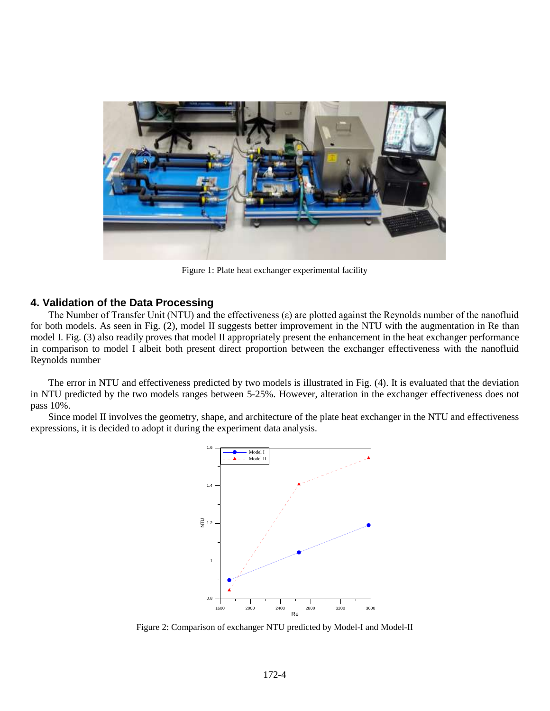

Figure 1: Plate heat exchanger experimental facility

## **4. Validation of the Data Processing**

The Number of Transfer Unit (NTU) and the effectiveness (ε) are plotted against the Reynolds number of the nanofluid for both models. As seen in Fig. (2), model II suggests better improvement in the NTU with the augmentation in Re than model I. Fig. (3) also readily proves that model II appropriately present the enhancement in the heat exchanger performance in comparison to model I albeit both present direct proportion between the exchanger effectiveness with the nanofluid Reynolds number

The error in NTU and effectiveness predicted by two models is illustrated in Fig. (4). It is evaluated that the deviation in NTU predicted by the two models ranges between 5-25%. However, alteration in the exchanger effectiveness does not pass 10%.

Since model II involves the geometry, shape, and architecture of the plate heat exchanger in the NTU and effectiveness expressions, it is decided to adopt it during the experiment data analysis.



Figure 2: Comparison of exchanger NTU predicted by Model-I and Model-II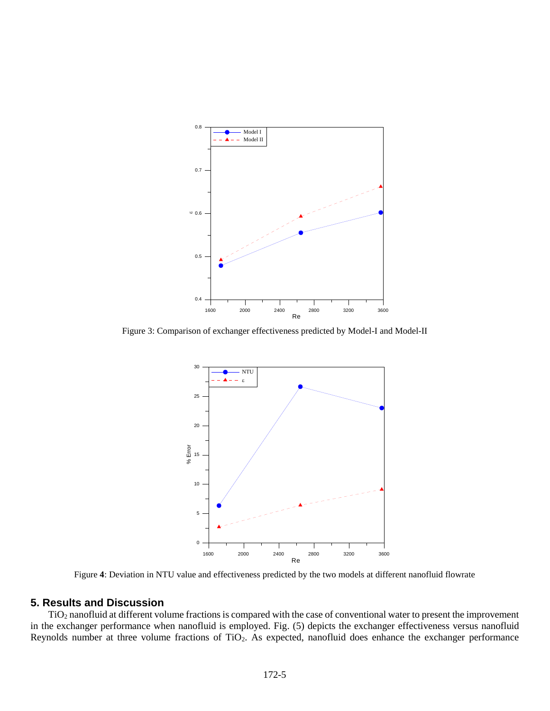

Figure 3: Comparison of exchanger effectiveness predicted by Model-I and Model-II



Figure **4**: Deviation in NTU value and effectiveness predicted by the two models at different nanofluid flowrate

## **5. Results and Discussion**

TiO<sup>2</sup> nanofluid at different volume fractions is compared with the case of conventional water to present the improvement in the exchanger performance when nanofluid is employed. Fig. (5) depicts the exchanger effectiveness versus nanofluid Reynolds number at three volume fractions of TiO2. As expected, nanofluid does enhance the exchanger performance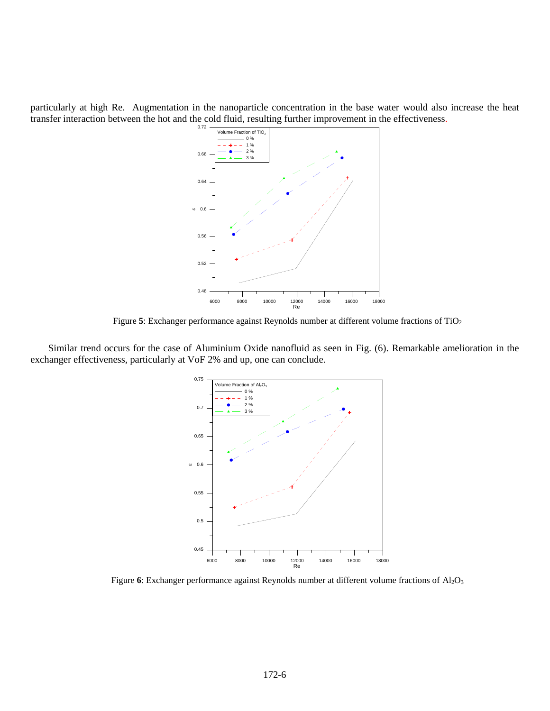particularly at high Re. Augmentation in the nanoparticle concentration in the base water would also increase the heat transfer interaction between the hot and the cold fluid, resulting further improvement in the effectiveness.



Figure 5: Exchanger performance against Reynolds number at different volume fractions of TiO<sub>2</sub>

Similar trend occurs for the case of Aluminium Oxide nanofluid as seen in Fig. (6). Remarkable amelioration in the exchanger effectiveness, particularly at VoF 2% and up, one can conclude.



Figure 6: Exchanger performance against Reynolds number at different volume fractions of Al<sub>2</sub>O<sub>3</sub>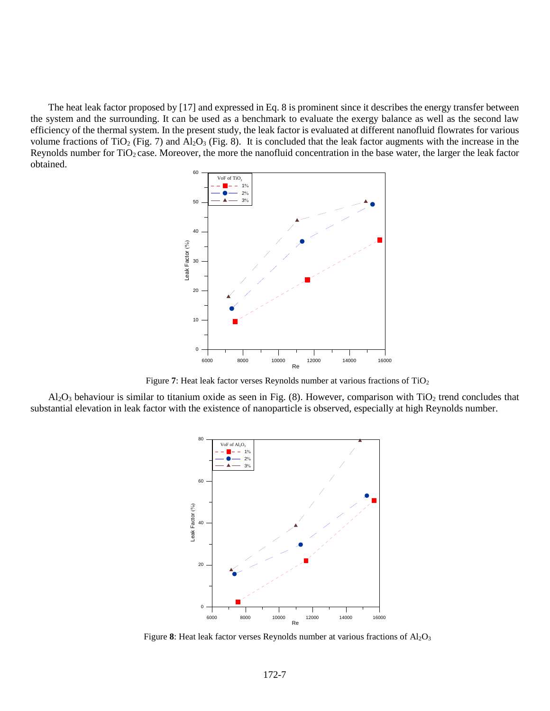The heat leak factor proposed by [17] and expressed in Eq. 8 is prominent since it describes the energy transfer between the system and the surrounding. It can be used as a benchmark to evaluate the exergy balance as well as the second law efficiency of the thermal system. In the present study, the leak factor is evaluated at different nanofluid flowrates for various volume fractions of TiO<sub>2</sub> (Fig. 7) and Al<sub>2</sub>O<sub>3</sub> (Fig. 8). It is concluded that the leak factor augments with the increase in the Reynolds number for TiO<sub>2</sub> case. Moreover, the more the nanofluid concentration in the base water, the larger the leak factor obtained.



Figure 7: Heat leak factor verses Reynolds number at various fractions of TiO<sub>2</sub>

 $Al_2O_3$  behaviour is similar to titanium oxide as seen in Fig. (8). However, comparison with TiO<sub>2</sub> trend concludes that substantial elevation in leak factor with the existence of nanoparticle is observed, especially at high Reynolds number.



Figure 8: Heat leak factor verses Reynolds number at various fractions of Al<sub>2</sub>O<sub>3</sub>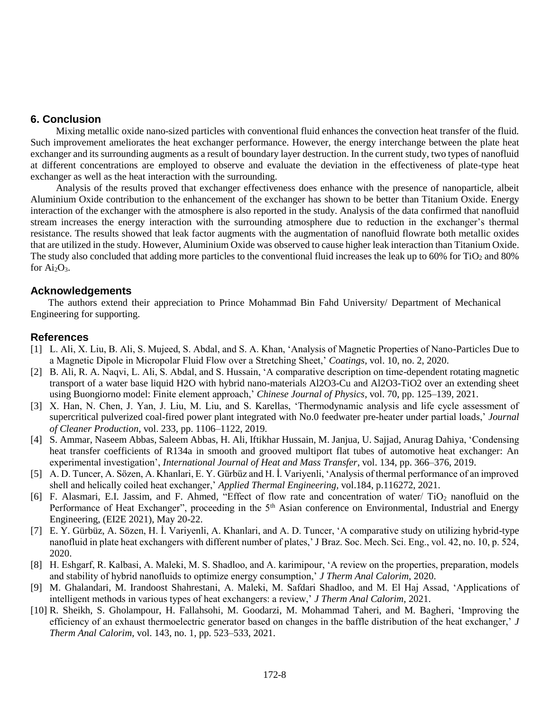# **6. Conclusion**

Mixing metallic oxide nano-sized particles with conventional fluid enhances the convection heat transfer of the fluid. Such improvement ameliorates the heat exchanger performance. However, the energy interchange between the plate heat exchanger and its surrounding augments as a result of boundary layer destruction. In the current study, two types of nanofluid at different concentrations are employed to observe and evaluate the deviation in the effectiveness of plate-type heat exchanger as well as the heat interaction with the surrounding.

Analysis of the results proved that exchanger effectiveness does enhance with the presence of nanoparticle, albeit Aluminium Oxide contribution to the enhancement of the exchanger has shown to be better than Titanium Oxide. Energy interaction of the exchanger with the atmosphere is also reported in the study. Analysis of the data confirmed that nanofluid stream increases the energy interaction with the surrounding atmosphere due to reduction in the exchanger's thermal resistance. The results showed that leak factor augments with the augmentation of nanofluid flowrate both metallic oxides that are utilized in the study. However, Aluminium Oxide was observed to cause higher leak interaction than Titanium Oxide. The study also concluded that adding more particles to the conventional fluid increases the leak up to  $60\%$  for TiO<sub>2</sub> and  $80\%$ for  $Ai<sub>2</sub>O<sub>3</sub>$ .

# **Acknowledgements**

The authors extend their appreciation to Prince Mohammad Bin Fahd University/ Department of Mechanical Engineering for supporting.

# **References**

- [1] L. Ali, X. Liu, B. Ali, S. Mujeed, S. Abdal, and S. A. Khan, 'Analysis of Magnetic Properties of Nano-Particles Due to a Magnetic Dipole in Micropolar Fluid Flow over a Stretching Sheet,' *Coatings*, vol. 10, no. 2, 2020.
- [2] B. Ali, R. A. Naqvi, L. Ali, S. Abdal, and S. Hussain, 'A comparative description on time-dependent rotating magnetic transport of a water base liquid H2O with hybrid nano-materials Al2O3-Cu and Al2O3-TiO2 over an extending sheet using Buongiorno model: Finite element approach,' *Chinese Journal of Physics*, vol. 70, pp. 125–139, 2021.
- [3] X. Han, N. Chen, J. Yan, J. Liu, M. Liu, and S. Karellas, 'Thermodynamic analysis and life cycle assessment of supercritical pulverized coal-fired power plant integrated with No.0 feedwater pre-heater under partial loads,' *Journal of Cleaner Production*, vol. 233, pp. 1106–1122, 2019.
- [4] [S. Ammar,](https://www.semanticscholar.org/author/S.-Ammar/95327239) [Naseem Abbas,](https://www.semanticscholar.org/author/Naseem-Abbas/35328436) [Saleem Abbas,](https://www.semanticscholar.org/author/Saleem-Abbas/31376976) [H. Ali,](https://www.semanticscholar.org/author/H.-Ali/51240811) [Iftikhar Hussain,](https://www.semanticscholar.org/author/Iftikhar-Hussain/1753244992) [M. Janjua,](https://www.semanticscholar.org/author/M.-Janjua/120327694) [U. Sajjad,](https://www.semanticscholar.org/author/U.-Sajjad/89667085) Anurag Dahiya, 'Condensing heat transfer coefficients of R134a in smooth and grooved multiport flat tubes of automotive heat exchanger: An experimental investigation', *International Journal of Heat and Mass Transfer*, vol. 134, pp. 366–376, 2019.
- [5] A. D. Tuncer, A. Sözen, A. Khanlari, E. Y. Gürbüz and H. İ. Variyenli, 'Analysis of thermal performance of an improved shell and helically coiled heat exchanger,' *Applied Thermal Engineering,* vol.184, p.116272, 2021.
- [6] F. Alasmari, E.I. Jassim, and F. Ahmed, "Effect of flow rate and concentration of water/  $TiO<sub>2</sub>$  nanofluid on the Performance of Heat Exchanger", proceeding in the 5<sup>th</sup> Asian conference on Environmental, Industrial and Energy Engineering, (EI2E 2021), May 20-22.
- [7] E. Y. Gürbüz, A. Sözen, H. İ. Variyenli, A. Khanlari, and A. D. Tuncer, 'A comparative study on utilizing hybrid-type nanofluid in plate heat exchangers with different number of plates,' J Braz. Soc. Mech. Sci. Eng., vol. 42, no. 10, p. 524, 2020.
- [8] H. Eshgarf, R. Kalbasi, A. Maleki, M. S. Shadloo, and A. karimipour, 'A review on the properties, preparation, models and stability of hybrid nanofluids to optimize energy consumption,' *J Therm Anal Calorim*, 2020.
- [9] M. Ghalandari, M. Irandoost Shahrestani, A. Maleki, M. Safdari Shadloo, and M. El Haj Assad, 'Applications of intelligent methods in various types of heat exchangers: a review,' *J Therm Anal Calorim*, 2021.
- [10] R. Sheikh, S. Gholampour, H. Fallahsohi, M. Goodarzi, M. Mohammad Taheri, and M. Bagheri, 'Improving the efficiency of an exhaust thermoelectric generator based on changes in the baffle distribution of the heat exchanger,' *J Therm Anal Calorim*, vol. 143, no. 1, pp. 523–533, 2021.